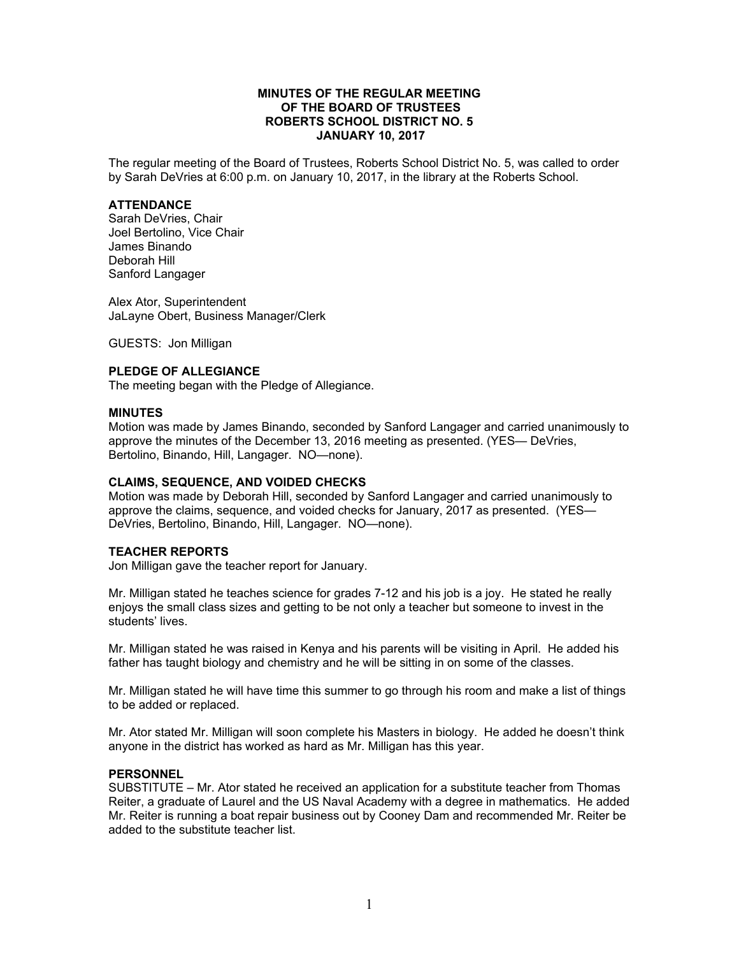## **MINUTES OF THE REGULAR MEETING OF THE BOARD OF TRUSTEES ROBERTS SCHOOL DISTRICT NO. 5 JANUARY 10, 2017**

The regular meeting of the Board of Trustees, Roberts School District No. 5, was called to order by Sarah DeVries at 6:00 p.m. on January 10, 2017, in the library at the Roberts School.

#### **ATTENDANCE**

Sarah DeVries, Chair Joel Bertolino, Vice Chair James Binando Deborah Hill Sanford Langager

Alex Ator, Superintendent JaLayne Obert, Business Manager/Clerk

GUESTS: Jon Milligan

# **PLEDGE OF ALLEGIANCE**

The meeting began with the Pledge of Allegiance.

#### **MINUTES**

Motion was made by James Binando, seconded by Sanford Langager and carried unanimously to approve the minutes of the December 13, 2016 meeting as presented. (YES— DeVries, Bertolino, Binando, Hill, Langager. NO—none).

### **CLAIMS, SEQUENCE, AND VOIDED CHECKS**

Motion was made by Deborah Hill, seconded by Sanford Langager and carried unanimously to approve the claims, sequence, and voided checks for January, 2017 as presented. (YES— DeVries, Bertolino, Binando, Hill, Langager. NO—none).

## **TEACHER REPORTS**

Jon Milligan gave the teacher report for January.

Mr. Milligan stated he teaches science for grades 7-12 and his job is a joy. He stated he really enjoys the small class sizes and getting to be not only a teacher but someone to invest in the students' lives.

Mr. Milligan stated he was raised in Kenya and his parents will be visiting in April. He added his father has taught biology and chemistry and he will be sitting in on some of the classes.

Mr. Milligan stated he will have time this summer to go through his room and make a list of things to be added or replaced.

Mr. Ator stated Mr. Milligan will soon complete his Masters in biology. He added he doesn't think anyone in the district has worked as hard as Mr. Milligan has this year.

## **PERSONNEL**

SUBSTITUTE – Mr. Ator stated he received an application for a substitute teacher from Thomas Reiter, a graduate of Laurel and the US Naval Academy with a degree in mathematics. He added Mr. Reiter is running a boat repair business out by Cooney Dam and recommended Mr. Reiter be added to the substitute teacher list.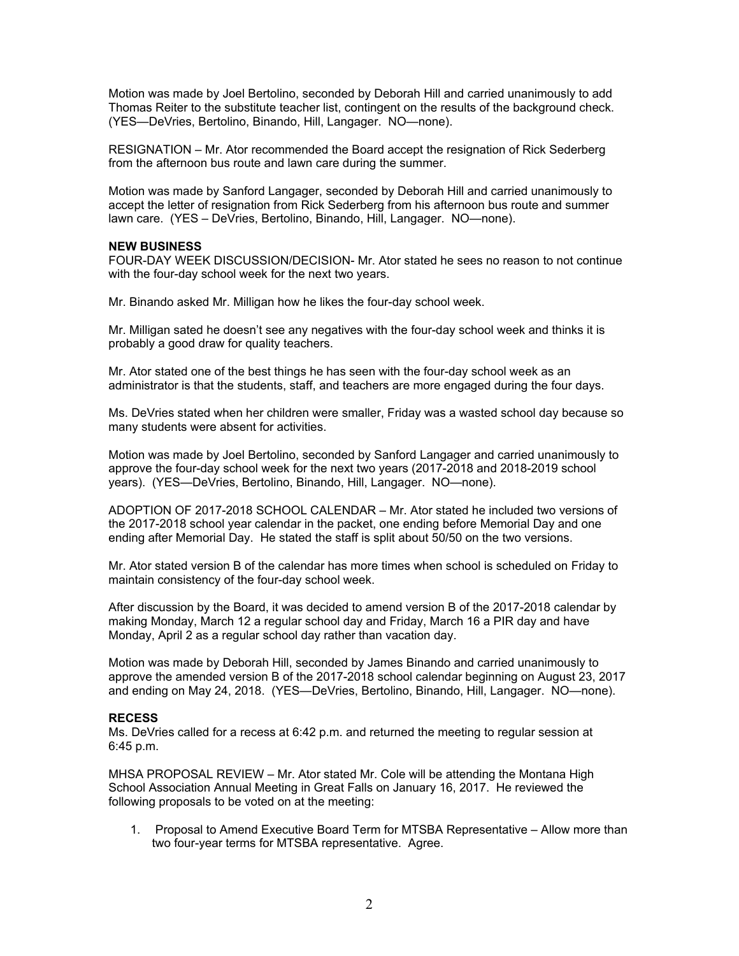Motion was made by Joel Bertolino, seconded by Deborah Hill and carried unanimously to add Thomas Reiter to the substitute teacher list, contingent on the results of the background check. (YES—DeVries, Bertolino, Binando, Hill, Langager. NO—none).

RESIGNATION – Mr. Ator recommended the Board accept the resignation of Rick Sederberg from the afternoon bus route and lawn care during the summer.

Motion was made by Sanford Langager, seconded by Deborah Hill and carried unanimously to accept the letter of resignation from Rick Sederberg from his afternoon bus route and summer lawn care. (YES – DeVries, Bertolino, Binando, Hill, Langager. NO—none).

### **NEW BUSINESS**

FOUR-DAY WEEK DISCUSSION/DECISION- Mr. Ator stated he sees no reason to not continue with the four-day school week for the next two years.

Mr. Binando asked Mr. Milligan how he likes the four-day school week.

Mr. Milligan sated he doesn't see any negatives with the four-day school week and thinks it is probably a good draw for quality teachers.

Mr. Ator stated one of the best things he has seen with the four-day school week as an administrator is that the students, staff, and teachers are more engaged during the four days.

Ms. DeVries stated when her children were smaller, Friday was a wasted school day because so many students were absent for activities.

Motion was made by Joel Bertolino, seconded by Sanford Langager and carried unanimously to approve the four-day school week for the next two years (2017-2018 and 2018-2019 school years). (YES—DeVries, Bertolino, Binando, Hill, Langager. NO—none).

ADOPTION OF 2017-2018 SCHOOL CALENDAR – Mr. Ator stated he included two versions of the 2017-2018 school year calendar in the packet, one ending before Memorial Day and one ending after Memorial Day. He stated the staff is split about 50/50 on the two versions.

Mr. Ator stated version B of the calendar has more times when school is scheduled on Friday to maintain consistency of the four-day school week.

After discussion by the Board, it was decided to amend version B of the 2017-2018 calendar by making Monday, March 12 a regular school day and Friday, March 16 a PIR day and have Monday, April 2 as a regular school day rather than vacation day.

Motion was made by Deborah Hill, seconded by James Binando and carried unanimously to approve the amended version B of the 2017-2018 school calendar beginning on August 23, 2017 and ending on May 24, 2018. (YES—DeVries, Bertolino, Binando, Hill, Langager. NO—none).

## **RECESS**

Ms. DeVries called for a recess at 6:42 p.m. and returned the meeting to regular session at 6:45 p.m.

MHSA PROPOSAL REVIEW – Mr. Ator stated Mr. Cole will be attending the Montana High School Association Annual Meeting in Great Falls on January 16, 2017. He reviewed the following proposals to be voted on at the meeting:

1. Proposal to Amend Executive Board Term for MTSBA Representative – Allow more than two four-year terms for MTSBA representative. Agree.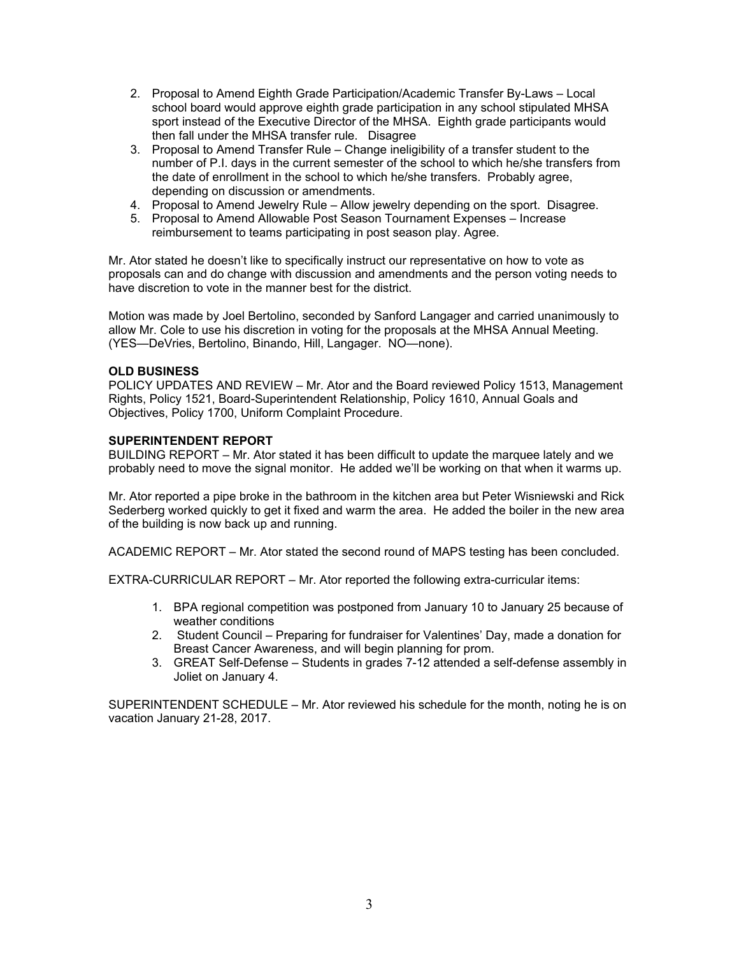- 2. Proposal to Amend Eighth Grade Participation/Academic Transfer By-Laws Local school board would approve eighth grade participation in any school stipulated MHSA sport instead of the Executive Director of the MHSA. Eighth grade participants would then fall under the MHSA transfer rule. Disagree
- 3. Proposal to Amend Transfer Rule Change ineligibility of a transfer student to the number of P.I. days in the current semester of the school to which he/she transfers from the date of enrollment in the school to which he/she transfers. Probably agree, depending on discussion or amendments.
- 4. Proposal to Amend Jewelry Rule Allow jewelry depending on the sport. Disagree.
- 5. Proposal to Amend Allowable Post Season Tournament Expenses Increase reimbursement to teams participating in post season play. Agree.

Mr. Ator stated he doesn't like to specifically instruct our representative on how to vote as proposals can and do change with discussion and amendments and the person voting needs to have discretion to vote in the manner best for the district.

Motion was made by Joel Bertolino, seconded by Sanford Langager and carried unanimously to allow Mr. Cole to use his discretion in voting for the proposals at the MHSA Annual Meeting. (YES—DeVries, Bertolino, Binando, Hill, Langager. NO—none).

# **OLD BUSINESS**

POLICY UPDATES AND REVIEW – Mr. Ator and the Board reviewed Policy 1513, Management Rights, Policy 1521, Board-Superintendent Relationship, Policy 1610, Annual Goals and Objectives, Policy 1700, Uniform Complaint Procedure.

# **SUPERINTENDENT REPORT**

BUILDING REPORT – Mr. Ator stated it has been difficult to update the marquee lately and we probably need to move the signal monitor. He added we'll be working on that when it warms up.

Mr. Ator reported a pipe broke in the bathroom in the kitchen area but Peter Wisniewski and Rick Sederberg worked quickly to get it fixed and warm the area. He added the boiler in the new area of the building is now back up and running.

ACADEMIC REPORT – Mr. Ator stated the second round of MAPS testing has been concluded.

EXTRA-CURRICULAR REPORT – Mr. Ator reported the following extra-curricular items:

- 1. BPA regional competition was postponed from January 10 to January 25 because of weather conditions
- 2. Student Council Preparing for fundraiser for Valentines' Day, made a donation for Breast Cancer Awareness, and will begin planning for prom.
- 3. GREAT Self-Defense Students in grades 7-12 attended a self-defense assembly in Joliet on January 4.

SUPERINTENDENT SCHEDULE – Mr. Ator reviewed his schedule for the month, noting he is on vacation January 21-28, 2017.